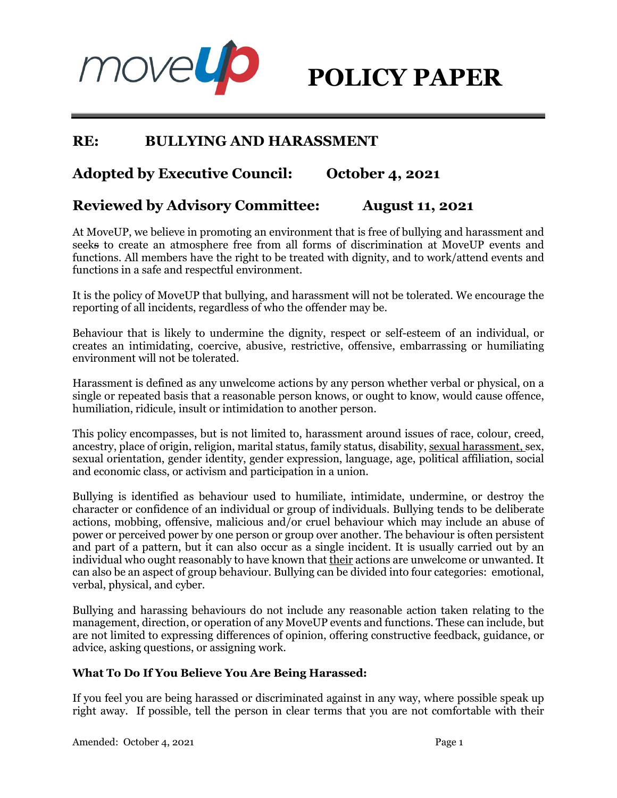

# **RE: BULLYING AND HARASSMENT**

# **Adopted by Executive Council: October 4, 2021**

# **Reviewed by Advisory Committee: August 11, 2021**

At MoveUP, we believe in promoting an environment that is free of bullying and harassment and seeks to create an atmosphere free from all forms of discrimination at MoveUP events and functions. All members have the right to be treated with dignity, and to work/attend events and functions in a safe and respectful environment.

It is the policy of MoveUP that bullying, and harassment will not be tolerated. We encourage the reporting of all incidents, regardless of who the offender may be.

Behaviour that is likely to undermine the dignity, respect or self-esteem of an individual, or creates an intimidating, coercive, abusive, restrictive, offensive, embarrassing or humiliating environment will not be tolerated.

Harassment is defined as any unwelcome actions by any person whether verbal or physical, on a single or repeated basis that a reasonable person knows, or ought to know, would cause offence, humiliation, ridicule, insult or intimidation to another person.

This policy encompasses, but is not limited to, harassment around issues of race, colour, creed, ancestry, place of origin, religion, marital status, family status, disability, sexual harassment, sex, sexual orientation, gender identity, gender expression, language, age, political affiliation, social and economic class, or activism and participation in a union.

Bullying is identified as behaviour used to humiliate, intimidate, undermine, or destroy the character or confidence of an individual or group of individuals. Bullying tends to be deliberate actions, mobbing, offensive, malicious and/or cruel behaviour which may include an abuse of power or perceived power by one person or group over another. The behaviour is often persistent and part of a pattern, but it can also occur as a single incident. It is usually carried out by an individual who ought reasonably to have known that their actions are unwelcome or unwanted. It can also be an aspect of group behaviour. Bullying can be divided into four categories: emotional, verbal, physical, and cyber.

Bullying and harassing behaviours do not include any reasonable action taken relating to the management, direction, or operation of any MoveUP events and functions. These can include, but are not limited to expressing differences of opinion, offering constructive feedback, guidance, or advice, asking questions, or assigning work.

# **What To Do If You Believe You Are Being Harassed:**

If you feel you are being harassed or discriminated against in any way, where possible speak up right away. If possible, tell the person in clear terms that you are not comfortable with their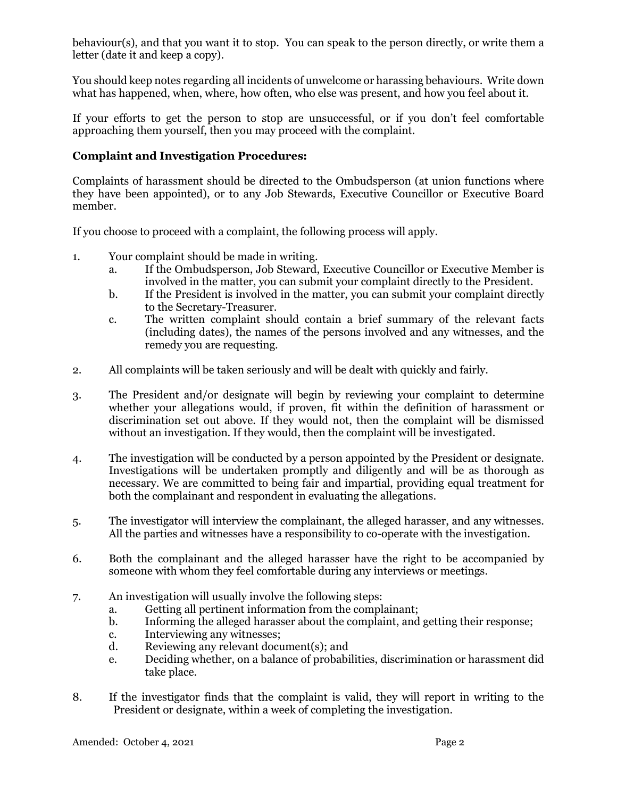behaviour(s), and that you want it to stop. You can speak to the person directly, or write them a letter (date it and keep a copy).

You should keep notes regarding all incidents of unwelcome or harassing behaviours. Write down what has happened, when, where, how often, who else was present, and how you feel about it.

If your efforts to get the person to stop are unsuccessful, or if you don't feel comfortable approaching them yourself, then you may proceed with the complaint.

## **Complaint and Investigation Procedures:**

Complaints of harassment should be directed to the Ombudsperson (at union functions where they have been appointed), or to any Job Stewards, Executive Councillor or Executive Board member.

If you choose to proceed with a complaint, the following process will apply.

- 1. Your complaint should be made in writing.
	- a. If the Ombudsperson, Job Steward, Executive Councillor or Executive Member is involved in the matter, you can submit your complaint directly to the President.
	- b. If the President is involved in the matter, you can submit your complaint directly to the Secretary-Treasurer.
	- c. The written complaint should contain a brief summary of the relevant facts (including dates), the names of the persons involved and any witnesses, and the remedy you are requesting.
- 2. All complaints will be taken seriously and will be dealt with quickly and fairly.
- 3. The President and/or designate will begin by reviewing your complaint to determine whether your allegations would, if proven, fit within the definition of harassment or discrimination set out above. If they would not, then the complaint will be dismissed without an investigation. If they would, then the complaint will be investigated.
- 4. The investigation will be conducted by a person appointed by the President or designate. Investigations will be undertaken promptly and diligently and will be as thorough as necessary. We are committed to being fair and impartial, providing equal treatment for both the complainant and respondent in evaluating the allegations.
- 5. The investigator will interview the complainant, the alleged harasser, and any witnesses. All the parties and witnesses have a responsibility to co-operate with the investigation.
- 6. Both the complainant and the alleged harasser have the right to be accompanied by someone with whom they feel comfortable during any interviews or meetings.
- 7. An investigation will usually involve the following steps:
	- a. Getting all pertinent information from the complainant;
	- b. Informing the alleged harasser about the complaint, and getting their response;
	- c. Interviewing any witnesses;
	- d. Reviewing any relevant document(s); and
	- e. Deciding whether, on a balance of probabilities, discrimination or harassment did take place.
- 8. If the investigator finds that the complaint is valid, they will report in writing to the President or designate, within a week of completing the investigation.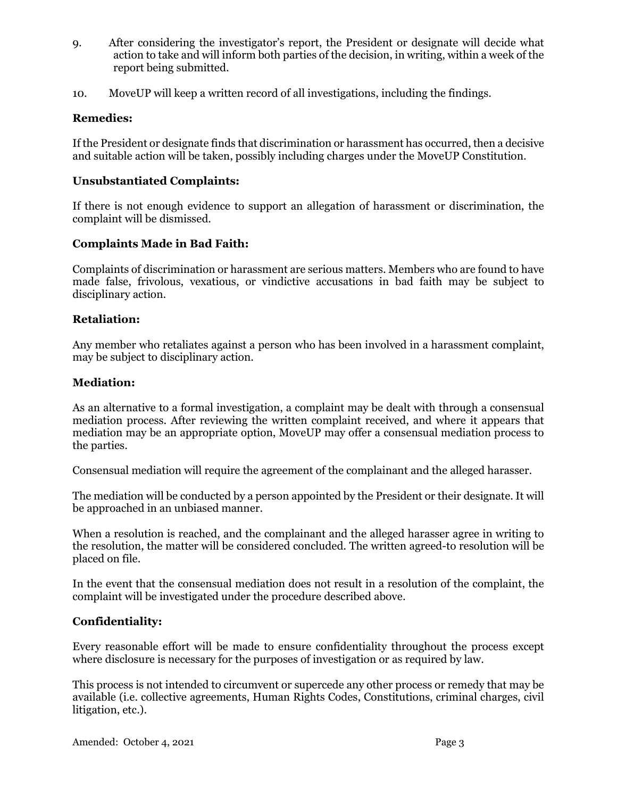- 9. After considering the investigator's report, the President or designate will decide what action to take and will inform both parties of the decision, in writing, within a week of the report being submitted.
- 10. MoveUP will keep a written record of all investigations, including the findings.

# **Remedies:**

If the President or designate finds that discrimination or harassment has occurred, then a decisive and suitable action will be taken, possibly including charges under the MoveUP Constitution.

#### **Unsubstantiated Complaints:**

If there is not enough evidence to support an allegation of harassment or discrimination, the complaint will be dismissed.

## **Complaints Made in Bad Faith:**

Complaints of discrimination or harassment are serious matters. Members who are found to have made false, frivolous, vexatious, or vindictive accusations in bad faith may be subject to disciplinary action.

#### **Retaliation:**

Any member who retaliates against a person who has been involved in a harassment complaint, may be subject to disciplinary action.

#### **Mediation:**

As an alternative to a formal investigation, a complaint may be dealt with through a consensual mediation process. After reviewing the written complaint received, and where it appears that mediation may be an appropriate option, MoveUP may offer a consensual mediation process to the parties.

Consensual mediation will require the agreement of the complainant and the alleged harasser.

The mediation will be conducted by a person appointed by the President or their designate. It will be approached in an unbiased manner.

When a resolution is reached, and the complainant and the alleged harasser agree in writing to the resolution, the matter will be considered concluded. The written agreed-to resolution will be placed on file.

In the event that the consensual mediation does not result in a resolution of the complaint, the complaint will be investigated under the procedure described above.

#### **Confidentiality:**

Every reasonable effort will be made to ensure confidentiality throughout the process except where disclosure is necessary for the purposes of investigation or as required by law.

This process is not intended to circumvent or supercede any other process or remedy that may be available (i.e. collective agreements, Human Rights Codes, Constitutions, criminal charges, civil litigation, etc.).